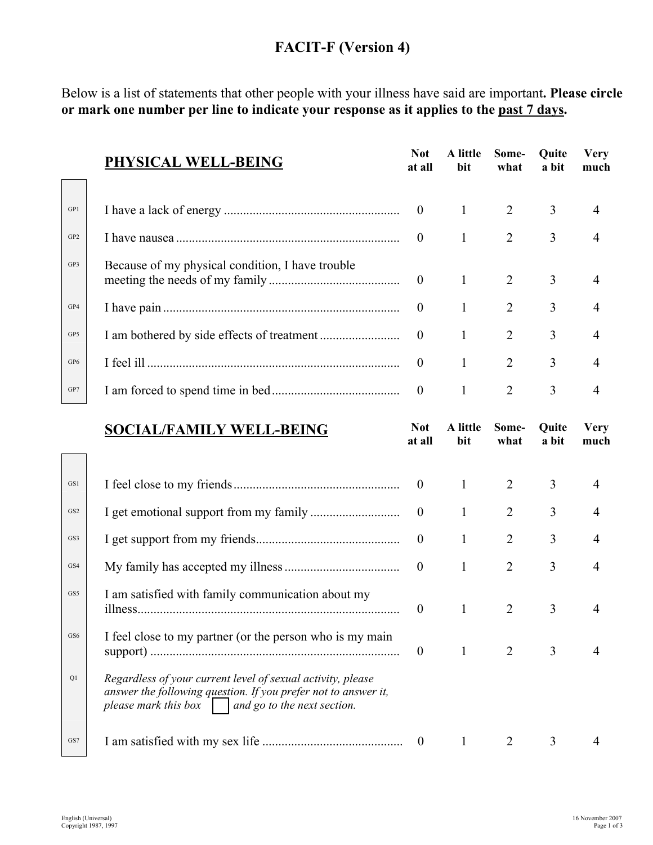## **FACIT-F (Version 4)**

Below is a list of statements that other people with your illness have said are important**. Please circle or mark one number per line to indicate your response as it applies to the past 7 days.** 

|                 | PHYSICAL WELL-BEING                              | <b>Not</b><br>at all | A little<br>bit | Some-<br>what  | <b>Quite</b><br>a bit | <b>Very</b><br>much |
|-----------------|--------------------------------------------------|----------------------|-----------------|----------------|-----------------------|---------------------|
|                 |                                                  |                      |                 |                |                       |                     |
| GP1             |                                                  |                      | $\frac{1}{2}$   | 2              | 3                     |                     |
| GP <sub>2</sub> |                                                  | $\theta$             |                 | 2              | 3                     |                     |
| GP3             | Because of my physical condition, I have trouble |                      | $\mathbf{1}$    | 2              | 3                     |                     |
| GP4             |                                                  | $\overline{0}$       | 1               | 2              | 3                     | 4                   |
| GP5             |                                                  |                      | 1               | 2              | 3                     | 4                   |
| GP6             |                                                  | $\theta$             | 1               | $\overline{2}$ | 3                     | 4                   |
| GP7             |                                                  | $\boldsymbol{0}$     |                 | 2              | 3                     |                     |

| <b>SOCIAL/FAMILY WELL-BEING</b> | Not   |
|---------------------------------|-------|
|                                 | 24.11 |

| Not.   | A little | Some- |
|--------|----------|-------|
| at all | bit      | what  |

**Quite a bit** 

**Very much** 

| GS1             |                                                                                                                                                                                               | $\overline{0}$   | $\mathbf{1}$ |                | 3 | 4 |
|-----------------|-----------------------------------------------------------------------------------------------------------------------------------------------------------------------------------------------|------------------|--------------|----------------|---|---|
| GS <sub>2</sub> |                                                                                                                                                                                               | $\theta$         | 1            | $\overline{2}$ | 3 |   |
| GS3             |                                                                                                                                                                                               |                  |              | $\overline{2}$ | 3 | 4 |
| GS4             |                                                                                                                                                                                               | $\overline{0}$   | $\mathbf{1}$ | 2              | 3 | 4 |
| GS5             | I am satisfied with family communication about my                                                                                                                                             | $\theta$         |              | $\overline{2}$ | 3 |   |
| GS6             | I feel close to my partner (or the person who is my main                                                                                                                                      | $\boldsymbol{0}$ |              | 2              | 3 |   |
| Q1              | Regardless of your current level of sexual activity, please<br>answer the following question. If you prefer not to answer it,<br>please mark this box $\parallel$ and go to the next section. |                  |              |                |   |   |
| GS7             |                                                                                                                                                                                               | $\theta$         |              |                | 3 |   |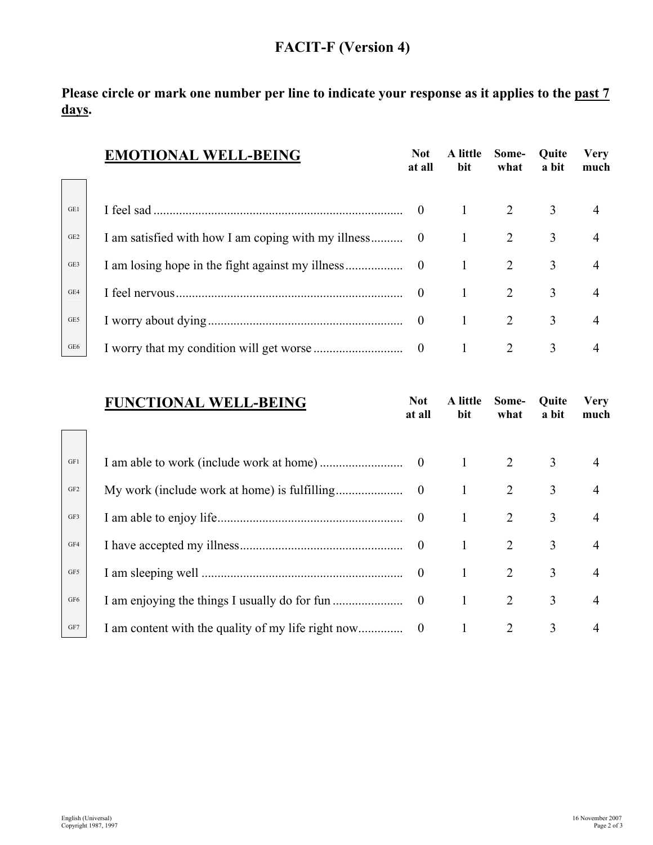## **FACIT-F (Version 4)**

**Please circle or mark one number per line to indicate your response as it applies to the past 7 days.**

|                 | <b>EMOTIONAL WELL-BEING</b> | <b>Not</b><br>at all | A little<br>bit | Some-<br>what | Quite<br>a bit | <b>Very</b><br>much |
|-----------------|-----------------------------|----------------------|-----------------|---------------|----------------|---------------------|
|                 |                             |                      |                 |               |                |                     |
| GE1             |                             |                      |                 | 2             | 3              | 4                   |
| GE <sub>2</sub> |                             |                      | $\mathbf{1}$    | 2             | 3              | $\overline{4}$      |
| GE3             |                             |                      | $\mathbf{1}$    | 2             | 3              | $\overline{4}$      |
| GE4             |                             |                      | $\mathbf{1}$    | 2             | 3              | 4                   |
| GE5             |                             |                      | -1              | 2             | 3              | $\overline{4}$      |
| GE6             |                             |                      |                 | 2             | 3              | 4                   |

|                 | <b>FUNCTIONAL WELL-BEING</b> | <b>Not</b><br>at all | A little<br>bit | Some-<br>what  | Quite<br>a bit | <b>Very</b><br>much |
|-----------------|------------------------------|----------------------|-----------------|----------------|----------------|---------------------|
| GF1             |                              |                      | $\mathbf{1}$    | 2              | 3              | $\overline{4}$      |
| GF <sub>2</sub> |                              |                      | -1              | $\overline{2}$ | 3              | $\overline{4}$      |
| GF3             |                              |                      | 1               | 2              | 3              | $\overline{4}$      |
| GF4             |                              |                      | $\mathbf{1}$    | $\overline{2}$ | 3              | $\overline{4}$      |
| GF5             |                              |                      | 1               | 2              | 3              | $\overline{4}$      |
| GF <sub>6</sub> |                              |                      | 1               | 2              | 3              | $\overline{4}$      |
| GF7             |                              |                      | 1               | 2              | 3              | 4                   |